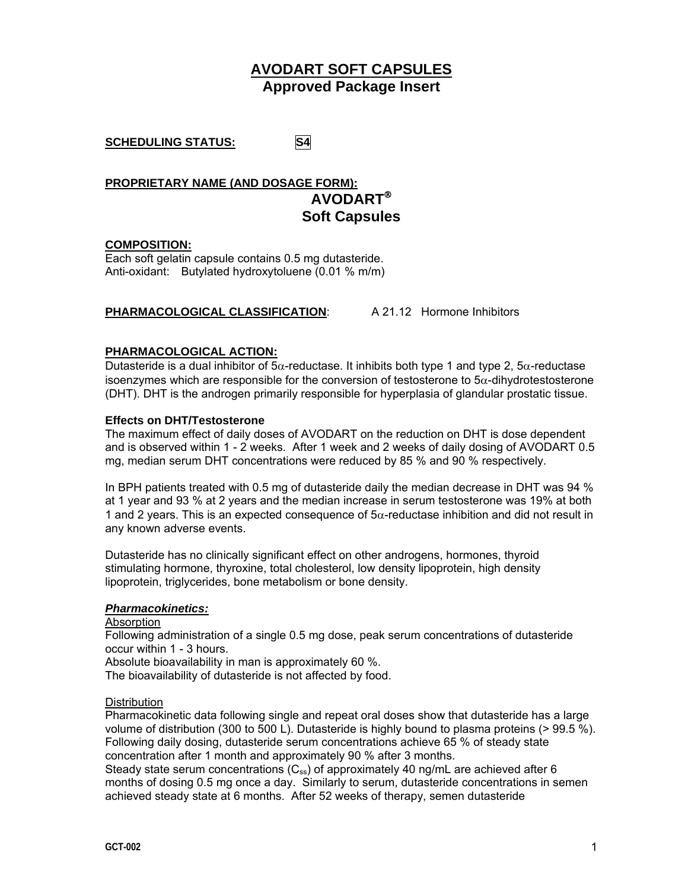# **AVODART SOFT CAPSULES Approved Package Insert**

**SCHEDULING STATUS: S4** 

**PROPRIETARY NAME (AND DOSAGE FORM): AVODART**® **Soft Capsules** 

# **COMPOSITION:**

Each soft gelatin capsule contains 0.5 mg dutasteride. Anti-oxidant: Butylated hydroxytoluene (0.01 % m/m)

# **PHARMACOLOGICAL CLASSIFICATION**: A 21.12 Hormone Inhibitors

# **PHARMACOLOGICAL ACTION:**

Dutasteride is a dual inhibitor of  $5\alpha$ -reductase. It inhibits both type 1 and type 2,  $5\alpha$ -reductase isoenzymes which are responsible for the conversion of testosterone to  $5\alpha$ -dihydrotestosterone (DHT). DHT is the androgen primarily responsible for hyperplasia of glandular prostatic tissue.

# **Effects on DHT/Testosterone**

The maximum effect of daily doses of AVODART on the reduction on DHT is dose dependent and is observed within 1 - 2 weeks. After 1 week and 2 weeks of daily dosing of AVODART 0.5 mg, median serum DHT concentrations were reduced by 85 % and 90 % respectively.

In BPH patients treated with 0.5 mg of dutasteride daily the median decrease in DHT was 94 % at 1 year and 93 % at 2 years and the median increase in serum testosterone was 19% at both 1 and 2 years. This is an expected consequence of  $5\alpha$ -reductase inhibition and did not result in any known adverse events.

Dutasteride has no clinically significant effect on other androgens, hormones, thyroid stimulating hormone, thyroxine, total cholesterol, low density lipoprotein, high density lipoprotein, triglycerides, bone metabolism or bone density.

# *Pharmacokinetics:*

Absorption

Following administration of a single 0.5 mg dose, peak serum concentrations of dutasteride occur within 1 - 3 hours.

Absolute bioavailability in man is approximately 60 %.

The bioavailability of dutasteride is not affected by food.

# **Distribution**

Pharmacokinetic data following single and repeat oral doses show that dutasteride has a large volume of distribution (300 to 500 L). Dutasteride is highly bound to plasma proteins (> 99.5 %). Following daily dosing, dutasteride serum concentrations achieve 65 % of steady state concentration after 1 month and approximately 90 % after 3 months.

Steady state serum concentrations  $(C_{ss})$  of approximately 40 ng/mL are achieved after 6 months of dosing 0.5 mg once a day. Similarly to serum, dutasteride concentrations in semen achieved steady state at 6 months. After 52 weeks of therapy, semen dutasteride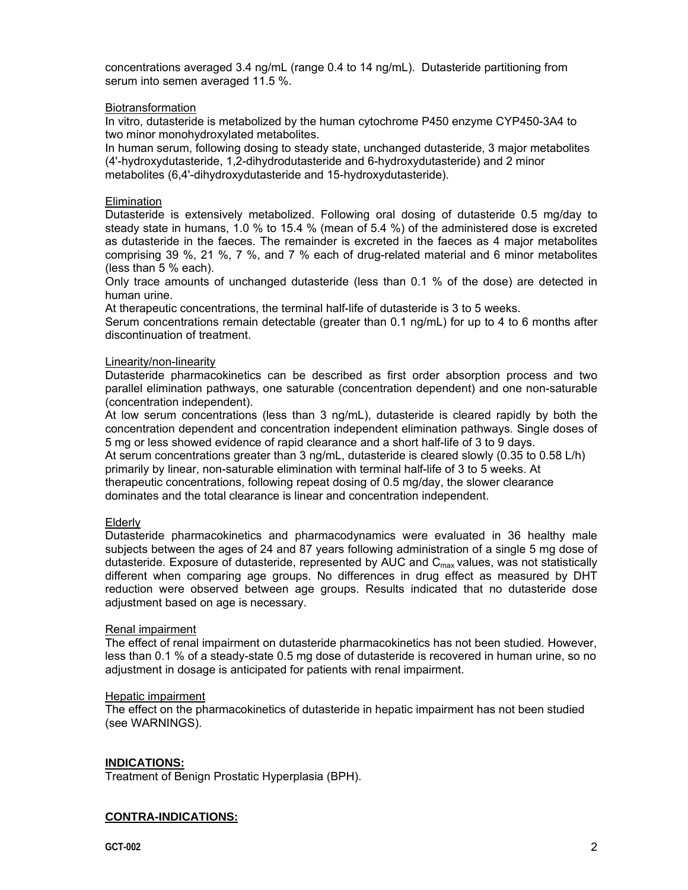concentrations averaged 3.4 ng/mL (range 0.4 to 14 ng/mL). Dutasteride partitioning from serum into semen averaged 11.5 %.

#### Biotransformation

In vitro, dutasteride is metabolized by the human cytochrome P450 enzyme CYP450-3A4 to two minor monohydroxylated metabolites.

In human serum, following dosing to steady state, unchanged dutasteride, 3 major metabolites (4'-hydroxydutasteride, 1,2-dihydrodutasteride and 6-hydroxydutasteride) and 2 minor metabolites (6,4'-dihydroxydutasteride and 15-hydroxydutasteride).

#### **Elimination**

Dutasteride is extensively metabolized. Following oral dosing of dutasteride 0.5 mg/day to steady state in humans, 1.0 % to 15.4 % (mean of 5.4 %) of the administered dose is excreted as dutasteride in the faeces. The remainder is excreted in the faeces as 4 major metabolites comprising 39 %, 21 %, 7 %, and 7 % each of drug-related material and 6 minor metabolites (less than 5 % each).

Only trace amounts of unchanged dutasteride (less than 0.1 % of the dose) are detected in human urine.

At therapeutic concentrations, the terminal half-life of dutasteride is 3 to 5 weeks.

Serum concentrations remain detectable (greater than 0.1 ng/mL) for up to 4 to 6 months after discontinuation of treatment.

#### Linearity/non-linearity

Dutasteride pharmacokinetics can be described as first order absorption process and two parallel elimination pathways, one saturable (concentration dependent) and one non-saturable (concentration independent).

At low serum concentrations (less than 3 ng/mL), dutasteride is cleared rapidly by both the concentration dependent and concentration independent elimination pathways. Single doses of 5 mg or less showed evidence of rapid clearance and a short half-life of 3 to 9 days.

At serum concentrations greater than 3 ng/mL, dutasteride is cleared slowly (0.35 to 0.58 L/h) primarily by linear, non-saturable elimination with terminal half-life of 3 to 5 weeks. At therapeutic concentrations, following repeat dosing of 0.5 mg/day, the slower clearance dominates and the total clearance is linear and concentration independent.

# Elderly

Dutasteride pharmacokinetics and pharmacodynamics were evaluated in 36 healthy male subjects between the ages of 24 and 87 years following administration of a single 5 mg dose of dutasteride. Exposure of dutasteride, represented by  $\overline{AUC}$  and  $C_{\text{max}}$  values, was not statistically different when comparing age groups. No differences in drug effect as measured by DHT reduction were observed between age groups. Results indicated that no dutasteride dose adjustment based on age is necessary.

#### Renal impairment

The effect of renal impairment on dutasteride pharmacokinetics has not been studied. However, less than 0.1 % of a steady-state 0.5 mg dose of dutasteride is recovered in human urine, so no adjustment in dosage is anticipated for patients with renal impairment.

#### Hepatic impairment

The effect on the pharmacokinetics of dutasteride in hepatic impairment has not been studied (see WARNINGS).

# **INDICATIONS:**

Treatment of Benign Prostatic Hyperplasia (BPH).

# **CONTRA-INDICATIONS:**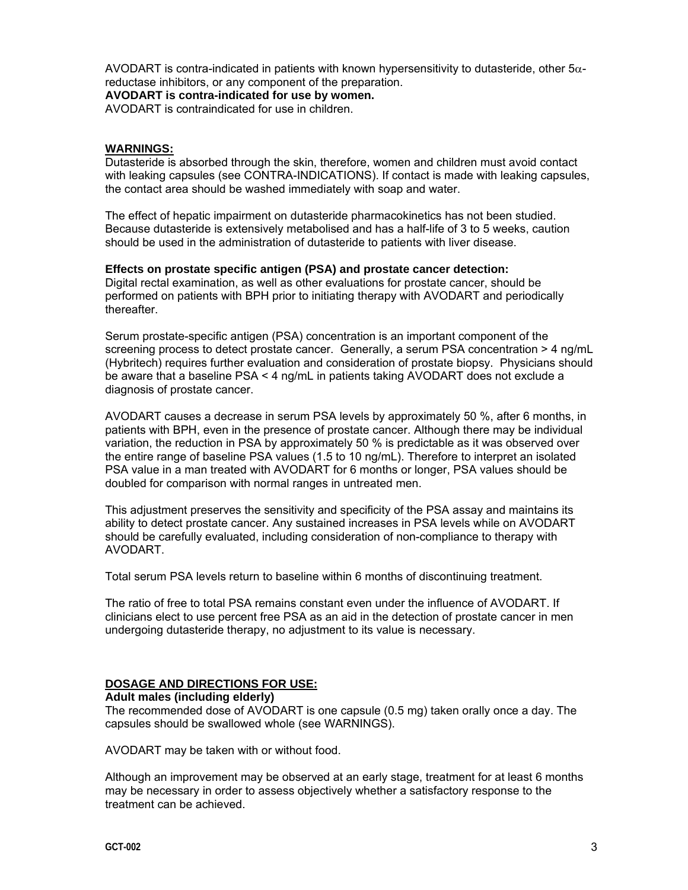AVODART is contra-indicated in patients with known hypersensitivity to dutasteride, other  $5\alpha$ reductase inhibitors, or any component of the preparation.

**AVODART is contra-indicated for use by women.** 

AVODART is contraindicated for use in children.

# **WARNINGS:**

Dutasteride is absorbed through the skin, therefore, women and children must avoid contact with leaking capsules (see CONTRA-INDICATIONS). If contact is made with leaking capsules, the contact area should be washed immediately with soap and water.

The effect of hepatic impairment on dutasteride pharmacokinetics has not been studied. Because dutasteride is extensively metabolised and has a half-life of 3 to 5 weeks, caution should be used in the administration of dutasteride to patients with liver disease.

#### **Effects on prostate specific antigen (PSA) and prostate cancer detection:**

Digital rectal examination, as well as other evaluations for prostate cancer, should be performed on patients with BPH prior to initiating therapy with AVODART and periodically thereafter.

Serum prostate-specific antigen (PSA) concentration is an important component of the screening process to detect prostate cancer. Generally, a serum PSA concentration > 4 ng/mL (Hybritech) requires further evaluation and consideration of prostate biopsy. Physicians should be aware that a baseline PSA < 4 ng/mL in patients taking AVODART does not exclude a diagnosis of prostate cancer.

AVODART causes a decrease in serum PSA levels by approximately 50 %, after 6 months, in patients with BPH, even in the presence of prostate cancer. Although there may be individual variation, the reduction in PSA by approximately 50 % is predictable as it was observed over the entire range of baseline PSA values (1.5 to 10 ng/mL). Therefore to interpret an isolated PSA value in a man treated with AVODART for 6 months or longer, PSA values should be doubled for comparison with normal ranges in untreated men.

This adjustment preserves the sensitivity and specificity of the PSA assay and maintains its ability to detect prostate cancer. Any sustained increases in PSA levels while on AVODART should be carefully evaluated, including consideration of non-compliance to therapy with AVODART.

Total serum PSA levels return to baseline within 6 months of discontinuing treatment.

The ratio of free to total PSA remains constant even under the influence of AVODART. If clinicians elect to use percent free PSA as an aid in the detection of prostate cancer in men undergoing dutasteride therapy, no adjustment to its value is necessary.

# **DOSAGE AND DIRECTIONS FOR USE:**

#### **Adult males (including elderly)**

The recommended dose of AVODART is one capsule (0.5 mg) taken orally once a day. The capsules should be swallowed whole (see WARNINGS).

AVODART may be taken with or without food.

Although an improvement may be observed at an early stage, treatment for at least 6 months may be necessary in order to assess objectively whether a satisfactory response to the treatment can be achieved.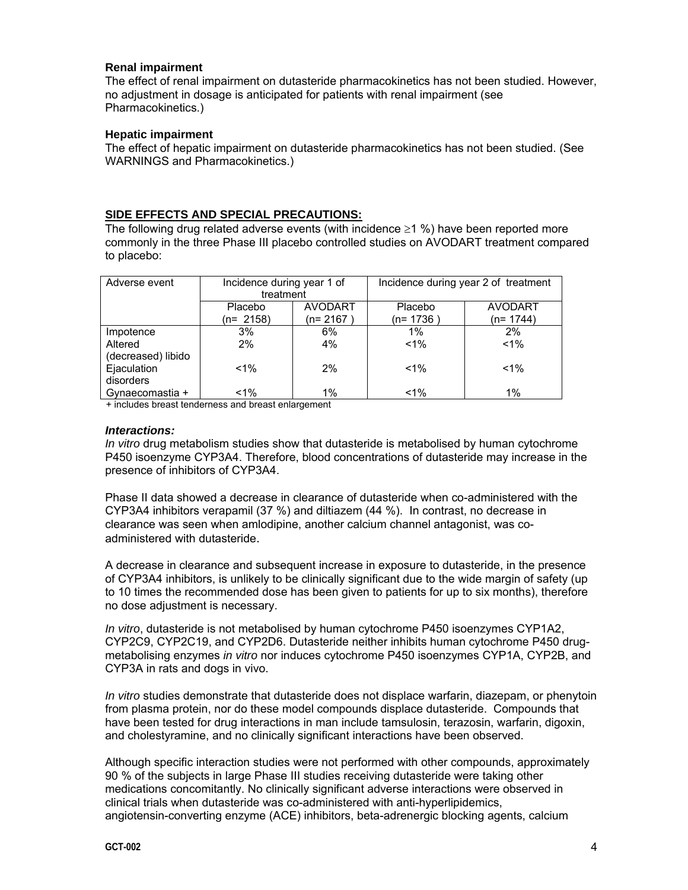#### **Renal impairment**

The effect of renal impairment on dutasteride pharmacokinetics has not been studied. However, no adjustment in dosage is anticipated for patients with renal impairment (see Pharmacokinetics.)

#### **Hepatic impairment**

The effect of hepatic impairment on dutasteride pharmacokinetics has not been studied. (See WARNINGS and Pharmacokinetics.)

# **SIDE EFFECTS AND SPECIAL PRECAUTIONS:**

The following drug related adverse events (with incidence  $\geq 1$  %) have been reported more commonly in the three Phase III placebo controlled studies on AVODART treatment compared to placebo:

| Adverse event      | Incidence during year 1 of |                | Incidence during year 2 of treatment |                |
|--------------------|----------------------------|----------------|--------------------------------------|----------------|
|                    | treatment                  |                |                                      |                |
|                    | Placebo                    | <b>AVODART</b> | Placebo                              | <b>AVODART</b> |
|                    | (n= 2158)                  | (n= 2167       | (n= 1736 <sup>-</sup>                | $(n=1744)$     |
| Impotence          | 3%                         | 6%             | $1\%$                                | 2%             |
| Altered            | 2%                         | 4%             | $< 1\%$                              | $< 1\%$        |
| (decreased) libido |                            |                |                                      |                |
| Ejaculation        | $1\%$                      | 2%             | $< 1\%$                              | $< 1\%$        |
| disorders          |                            |                |                                      |                |
| Gynaecomastia +    | $1\%$                      | $1\%$          | $< 1\%$                              | $1\%$          |

+ includes breast tenderness and breast enlargement

#### *Interactions:*

*In vitro* drug metabolism studies show that dutasteride is metabolised by human cytochrome P450 isoenzyme CYP3A4. Therefore, blood concentrations of dutasteride may increase in the presence of inhibitors of CYP3A4.

Phase II data showed a decrease in clearance of dutasteride when co-administered with the CYP3A4 inhibitors verapamil (37 %) and diltiazem (44 %). In contrast, no decrease in clearance was seen when amlodipine, another calcium channel antagonist, was coadministered with dutasteride.

A decrease in clearance and subsequent increase in exposure to dutasteride, in the presence of CYP3A4 inhibitors, is unlikely to be clinically significant due to the wide margin of safety (up to 10 times the recommended dose has been given to patients for up to six months), therefore no dose adjustment is necessary.

*In vitro*, dutasteride is not metabolised by human cytochrome P450 isoenzymes CYP1A2, CYP2C9, CYP2C19, and CYP2D6. Dutasteride neither inhibits human cytochrome P450 drugmetabolising enzymes *in vitro* nor induces cytochrome P450 isoenzymes CYP1A, CYP2B, and CYP3A in rats and dogs in vivo.

*In vitro* studies demonstrate that dutasteride does not displace warfarin, diazepam, or phenytoin from plasma protein, nor do these model compounds displace dutasteride. Compounds that have been tested for drug interactions in man include tamsulosin, terazosin, warfarin, digoxin, and cholestyramine, and no clinically significant interactions have been observed.

Although specific interaction studies were not performed with other compounds, approximately 90 % of the subjects in large Phase III studies receiving dutasteride were taking other medications concomitantly. No clinically significant adverse interactions were observed in clinical trials when dutasteride was co-administered with anti-hyperlipidemics, angiotensin-converting enzyme (ACE) inhibitors, beta-adrenergic blocking agents, calcium